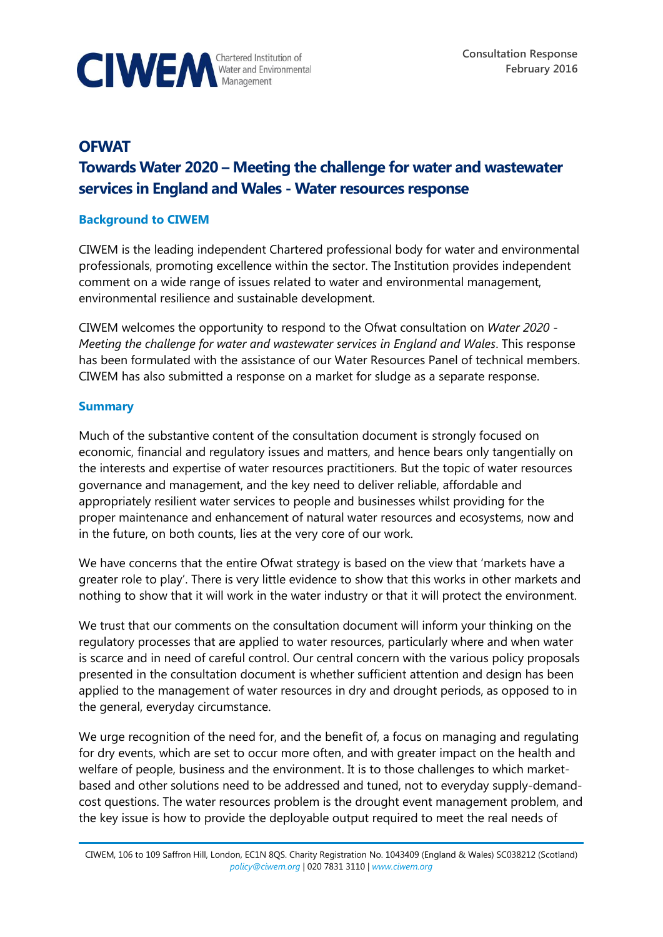

# **OFWAT Towards Water 2020 – Meeting the challenge for water and wastewater services in England and Wales - Water resources response**

#### **Background to CIWEM**

CIWEM is the leading independent Chartered professional body for water and environmental professionals, promoting excellence within the sector. The Institution provides independent comment on a wide range of issues related to water and environmental management, environmental resilience and sustainable development.

CIWEM welcomes the opportunity to respond to the Ofwat consultation on *Water 2020 - Meeting the challenge for water and wastewater services in England and Wales*. This response has been formulated with the assistance of our Water Resources Panel of technical members. CIWEM has also submitted a response on a market for sludge as a separate response.

#### **Summary**

Much of the substantive content of the consultation document is strongly focused on economic, financial and regulatory issues and matters, and hence bears only tangentially on the interests and expertise of water resources practitioners. But the topic of water resources governance and management, and the key need to deliver reliable, affordable and appropriately resilient water services to people and businesses whilst providing for the proper maintenance and enhancement of natural water resources and ecosystems, now and in the future, on both counts, lies at the very core of our work.

We have concerns that the entire Ofwat strategy is based on the view that 'markets have a greater role to play'. There is very little evidence to show that this works in other markets and nothing to show that it will work in the water industry or that it will protect the environment.

We trust that our comments on the consultation document will inform your thinking on the regulatory processes that are applied to water resources, particularly where and when water is scarce and in need of careful control. Our central concern with the various policy proposals presented in the consultation document is whether sufficient attention and design has been applied to the management of water resources in dry and drought periods, as opposed to in the general, everyday circumstance.

We urge recognition of the need for, and the benefit of, a focus on managing and regulating for dry events, which are set to occur more often, and with greater impact on the health and welfare of people, business and the environment. It is to those challenges to which marketbased and other solutions need to be addressed and tuned, not to everyday supply-demandcost questions. The water resources problem is the drought event management problem, and the key issue is how to provide the deployable output required to meet the real needs of

CIWEM, 106 to 109 Saffron Hill, London, EC1N 8QS. Charity Registration No. 1043409 (England & Wales) SC038212 (Scotland) *[policy@ciwem.org](mailto:policy@ciwem.org)* | 020 7831 3110 | *[www.ciwem.org](http://www.ciwem.org/)*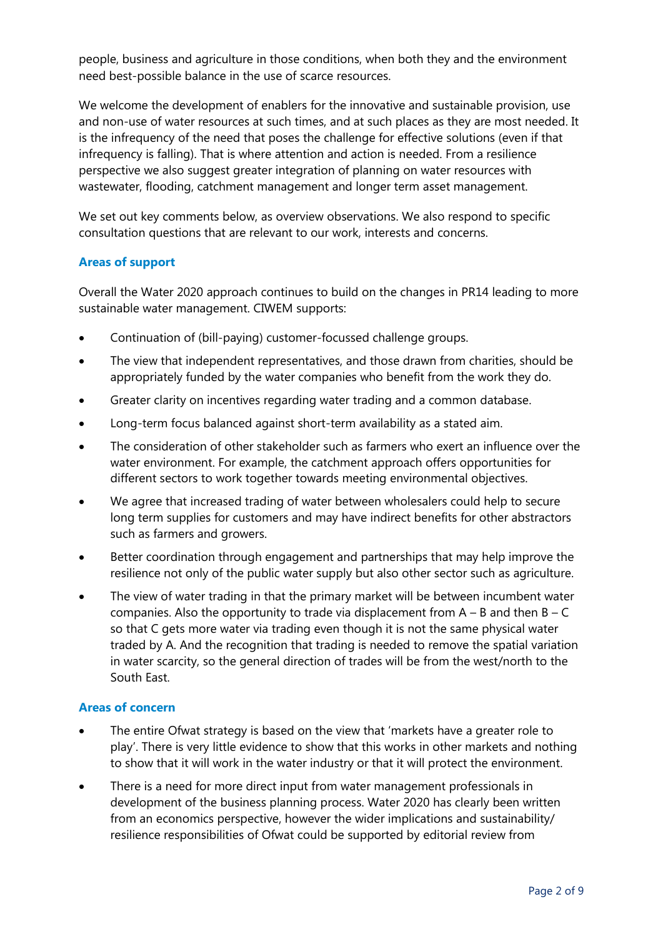people, business and agriculture in those conditions, when both they and the environment need best-possible balance in the use of scarce resources.

We welcome the development of enablers for the innovative and sustainable provision, use and non-use of water resources at such times, and at such places as they are most needed. It is the infrequency of the need that poses the challenge for effective solutions (even if that infrequency is falling). That is where attention and action is needed. From a resilience perspective we also suggest greater integration of planning on water resources with wastewater, flooding, catchment management and longer term asset management.

We set out key comments below, as overview observations. We also respond to specific consultation questions that are relevant to our work, interests and concerns.

### **Areas of support**

Overall the Water 2020 approach continues to build on the changes in PR14 leading to more sustainable water management. CIWEM supports:

- Continuation of (bill-paying) customer-focussed challenge groups.
- The view that independent representatives, and those drawn from charities, should be appropriately funded by the water companies who benefit from the work they do.
- Greater clarity on incentives regarding water trading and a common database.
- Long-term focus balanced against short-term availability as a stated aim.
- The consideration of other stakeholder such as farmers who exert an influence over the water environment. For example, the catchment approach offers opportunities for different sectors to work together towards meeting environmental objectives.
- We agree that increased trading of water between wholesalers could help to secure long term supplies for customers and may have indirect benefits for other abstractors such as farmers and growers.
- Better coordination through engagement and partnerships that may help improve the resilience not only of the public water supply but also other sector such as agriculture.
- The view of water trading in that the primary market will be between incumbent water companies. Also the opportunity to trade via displacement from  $A - B$  and then  $B - C$ so that C gets more water via trading even though it is not the same physical water traded by A. And the recognition that trading is needed to remove the spatial variation in water scarcity, so the general direction of trades will be from the west/north to the South East.

#### **Areas of concern**

- The entire Ofwat strategy is based on the view that 'markets have a greater role to play'. There is very little evidence to show that this works in other markets and nothing to show that it will work in the water industry or that it will protect the environment.
- There is a need for more direct input from water management professionals in development of the business planning process. Water 2020 has clearly been written from an economics perspective, however the wider implications and sustainability/ resilience responsibilities of Ofwat could be supported by editorial review from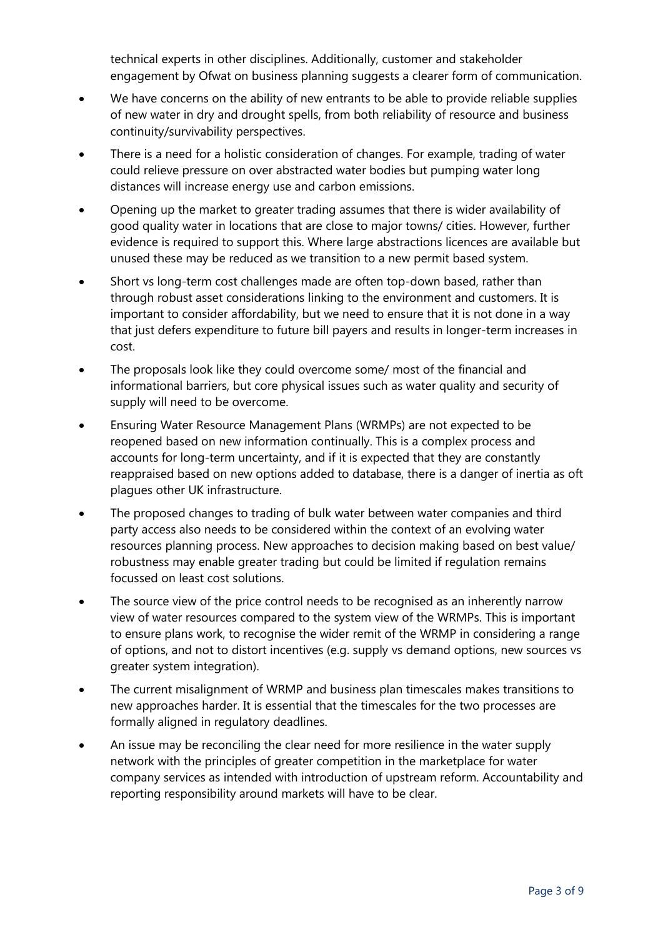technical experts in other disciplines. Additionally, customer and stakeholder engagement by Ofwat on business planning suggests a clearer form of communication.

- We have concerns on the ability of new entrants to be able to provide reliable supplies of new water in dry and drought spells, from both reliability of resource and business continuity/survivability perspectives.
- There is a need for a holistic consideration of changes. For example, trading of water could relieve pressure on over abstracted water bodies but pumping water long distances will increase energy use and carbon emissions.
- Opening up the market to greater trading assumes that there is wider availability of good quality water in locations that are close to major towns/ cities. However, further evidence is required to support this. Where large abstractions licences are available but unused these may be reduced as we transition to a new permit based system.
- Short vs long-term cost challenges made are often top-down based, rather than through robust asset considerations linking to the environment and customers. It is important to consider affordability, but we need to ensure that it is not done in a way that just defers expenditure to future bill payers and results in longer-term increases in cost.
- The proposals look like they could overcome some/ most of the financial and informational barriers, but core physical issues such as water quality and security of supply will need to be overcome.
- Ensuring Water Resource Management Plans (WRMPs) are not expected to be reopened based on new information continually. This is a complex process and accounts for long-term uncertainty, and if it is expected that they are constantly reappraised based on new options added to database, there is a danger of inertia as oft plagues other UK infrastructure.
- The proposed changes to trading of bulk water between water companies and third party access also needs to be considered within the context of an evolving water resources planning process. New approaches to decision making based on best value/ robustness may enable greater trading but could be limited if regulation remains focussed on least cost solutions.
- The source view of the price control needs to be recognised as an inherently narrow view of water resources compared to the system view of the WRMPs. This is important to ensure plans work, to recognise the wider remit of the WRMP in considering a range of options, and not to distort incentives (e.g. supply vs demand options, new sources vs greater system integration).
- The current misalignment of WRMP and business plan timescales makes transitions to new approaches harder. It is essential that the timescales for the two processes are formally aligned in regulatory deadlines.
- An issue may be reconciling the clear need for more resilience in the water supply network with the principles of greater competition in the marketplace for water company services as intended with introduction of upstream reform. Accountability and reporting responsibility around markets will have to be clear.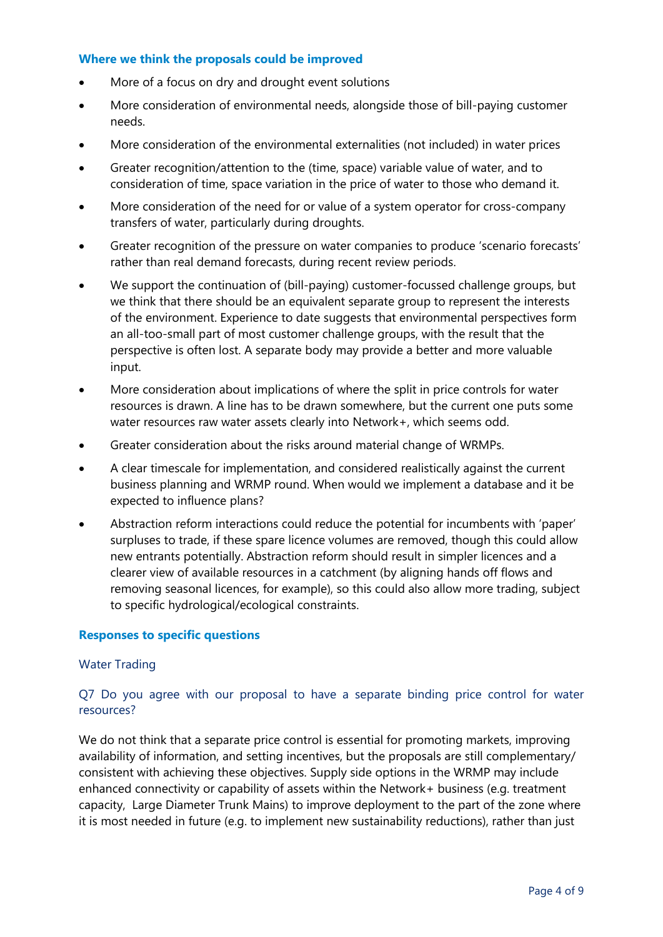#### **Where we think the proposals could be improved**

- More of a focus on dry and drought event solutions
- More consideration of environmental needs, alongside those of bill-paying customer needs.
- More consideration of the environmental externalities (not included) in water prices
- Greater recognition/attention to the (time, space) variable value of water, and to consideration of time, space variation in the price of water to those who demand it.
- More consideration of the need for or value of a system operator for cross-company transfers of water, particularly during droughts.
- Greater recognition of the pressure on water companies to produce 'scenario forecasts' rather than real demand forecasts, during recent review periods.
- We support the continuation of (bill-paying) customer-focussed challenge groups, but we think that there should be an equivalent separate group to represent the interests of the environment. Experience to date suggests that environmental perspectives form an all-too-small part of most customer challenge groups, with the result that the perspective is often lost. A separate body may provide a better and more valuable input.
- More consideration about implications of where the split in price controls for water resources is drawn. A line has to be drawn somewhere, but the current one puts some water resources raw water assets clearly into Network+, which seems odd.
- Greater consideration about the risks around material change of WRMPs.
- A clear timescale for implementation, and considered realistically against the current business planning and WRMP round. When would we implement a database and it be expected to influence plans?
- Abstraction reform interactions could reduce the potential for incumbents with 'paper' surpluses to trade, if these spare licence volumes are removed, though this could allow new entrants potentially. Abstraction reform should result in simpler licences and a clearer view of available resources in a catchment (by aligning hands off flows and removing seasonal licences, for example), so this could also allow more trading, subject to specific hydrological/ecological constraints.

#### **Responses to specific questions**

#### Water Trading

## Q7 Do you agree with our proposal to have a separate binding price control for water resources?

We do not think that a separate price control is essential for promoting markets, improving availability of information, and setting incentives, but the proposals are still complementary/ consistent with achieving these objectives. Supply side options in the WRMP may include enhanced connectivity or capability of assets within the Network+ business (e.g. treatment capacity, Large Diameter Trunk Mains) to improve deployment to the part of the zone where it is most needed in future (e.g. to implement new sustainability reductions), rather than just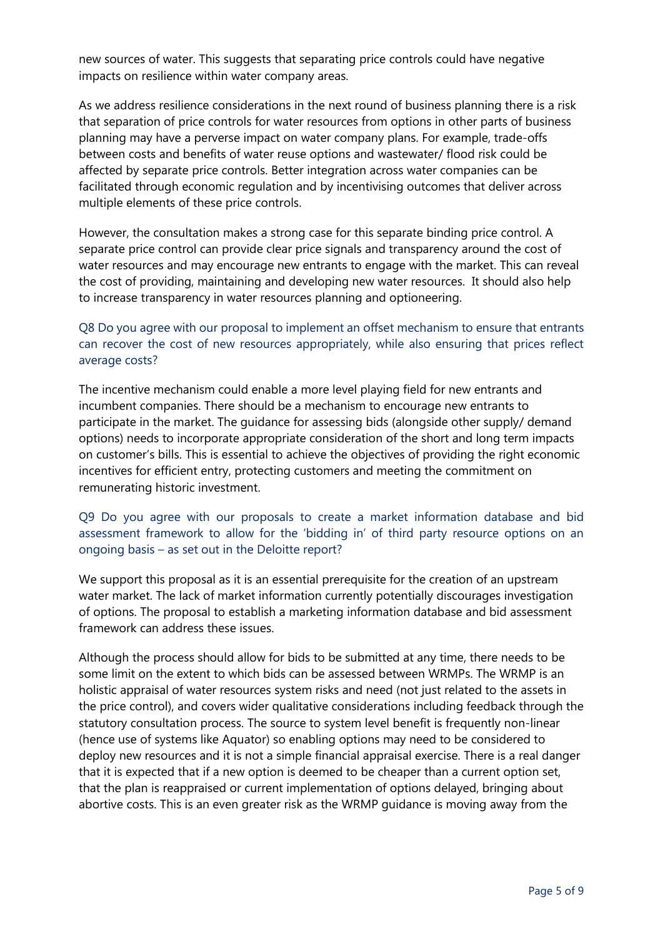new sources of water. This suggests that separating price controls could have negative impacts on resilience within water company areas.

As we address resilience considerations in the next round of business planning there is a risk that separation of price controls for water resources from options in other parts of business planning may have a perverse impact on water company plans. For example, trade-offs between costs and benefits of water reuse options and wastewater/ flood risk could be affected by separate price controls. Better integration across water companies can be facilitated through economic regulation and by incentivising outcomes that deliver across multiple elements of these price controls.

However, the consultation makes a strong case for this separate binding price control. A separate price control can provide clear price signals and transparency around the cost of water resources and may encourage new entrants to engage with the market. This can reveal the cost of providing, maintaining and developing new water resources. It should also help to increase transparency in water resources planning and optioneering.

## Q8 Do you agree with our proposal to implement an offset mechanism to ensure that entrants can recover the cost of new resources appropriately, while also ensuring that prices reflect average costs?

The incentive mechanism could enable a more level playing field for new entrants and incumbent companies. There should be a mechanism to encourage new entrants to participate in the market. The guidance for assessing bids (alongside other supply/ demand options) needs to incorporate appropriate consideration of the short and long term impacts on customer's bills. This is essential to achieve the objectives of providing the right economic incentives for efficient entry, protecting customers and meeting the commitment on remunerating historic investment.

## Q9 Do you agree with our proposals to create a market information database and bid assessment framework to allow for the 'bidding in' of third party resource options on an ongoing basis – as set out in the Deloitte report?

We support this proposal as it is an essential prerequisite for the creation of an upstream water market. The lack of market information currently potentially discourages investigation of options. The proposal to establish a marketing information database and bid assessment framework can address these issues.

Although the process should allow for bids to be submitted at any time, there needs to be some limit on the extent to which bids can be assessed between WRMPs. The WRMP is an holistic appraisal of water resources system risks and need (not just related to the assets in the price control), and covers wider qualitative considerations including feedback through the statutory consultation process. The source to system level benefit is frequently non-linear (hence use of systems like Aquator) so enabling options may need to be considered to deploy new resources and it is not a simple financial appraisal exercise. There is a real danger that it is expected that if a new option is deemed to be cheaper than a current option set, that the plan is reappraised or current implementation of options delayed, bringing about abortive costs. This is an even greater risk as the WRMP guidance is moving away from the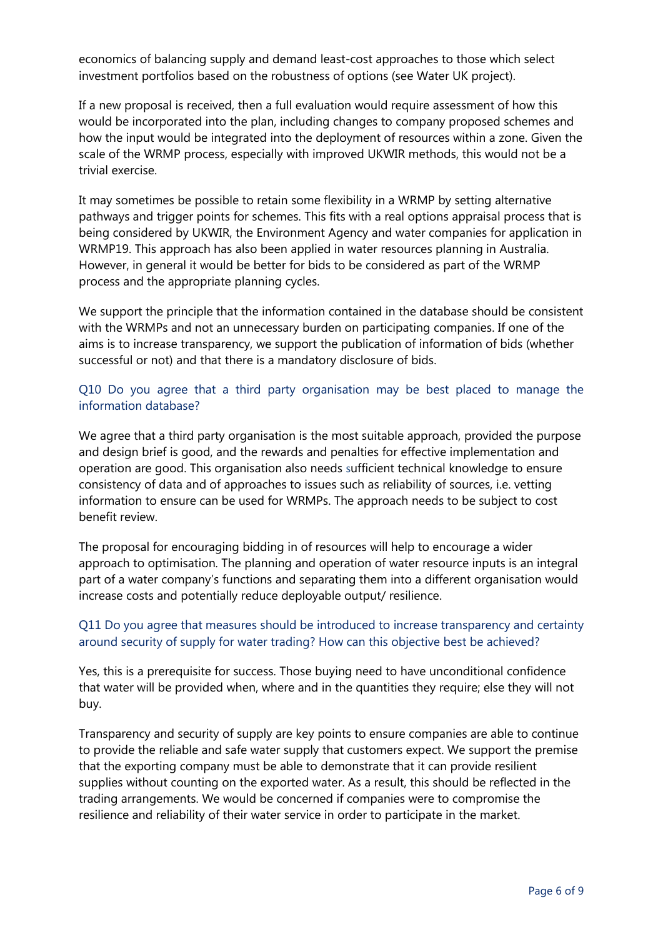economics of balancing supply and demand least-cost approaches to those which select investment portfolios based on the robustness of options (see Water UK project).

If a new proposal is received, then a full evaluation would require assessment of how this would be incorporated into the plan, including changes to company proposed schemes and how the input would be integrated into the deployment of resources within a zone. Given the scale of the WRMP process, especially with improved UKWIR methods, this would not be a trivial exercise.

It may sometimes be possible to retain some flexibility in a WRMP by setting alternative pathways and trigger points for schemes. This fits with a real options appraisal process that is being considered by UKWIR, the Environment Agency and water companies for application in WRMP19. This approach has also been applied in water resources planning in Australia. However, in general it would be better for bids to be considered as part of the WRMP process and the appropriate planning cycles.

We support the principle that the information contained in the database should be consistent with the WRMPs and not an unnecessary burden on participating companies. If one of the aims is to increase transparency, we support the publication of information of bids (whether successful or not) and that there is a mandatory disclosure of bids.

## Q10 Do you agree that a third party organisation may be best placed to manage the information database?

We agree that a third party organisation is the most suitable approach, provided the purpose and design brief is good, and the rewards and penalties for effective implementation and operation are good. This organisation also needs sufficient technical knowledge to ensure consistency of data and of approaches to issues such as reliability of sources, i.e. vetting information to ensure can be used for WRMPs. The approach needs to be subject to cost benefit review.

The proposal for encouraging bidding in of resources will help to encourage a wider approach to optimisation. The planning and operation of water resource inputs is an integral part of a water company's functions and separating them into a different organisation would increase costs and potentially reduce deployable output/ resilience.

## Q11 Do you agree that measures should be introduced to increase transparency and certainty around security of supply for water trading? How can this objective best be achieved?

Yes, this is a prerequisite for success. Those buying need to have unconditional confidence that water will be provided when, where and in the quantities they require; else they will not buy.

Transparency and security of supply are key points to ensure companies are able to continue to provide the reliable and safe water supply that customers expect. We support the premise that the exporting company must be able to demonstrate that it can provide resilient supplies without counting on the exported water. As a result, this should be reflected in the trading arrangements. We would be concerned if companies were to compromise the resilience and reliability of their water service in order to participate in the market.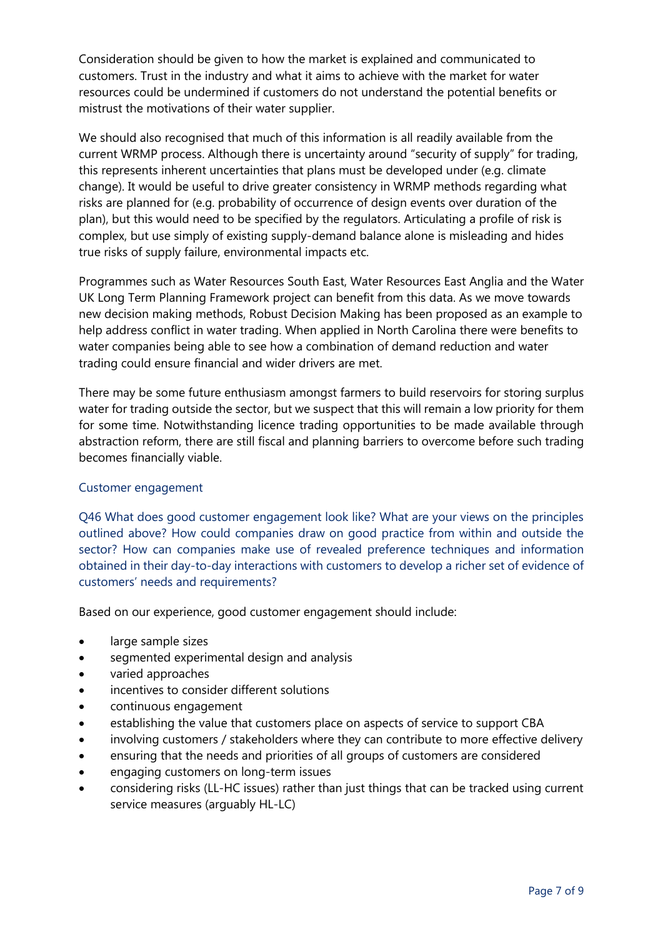Consideration should be given to how the market is explained and communicated to customers. Trust in the industry and what it aims to achieve with the market for water resources could be undermined if customers do not understand the potential benefits or mistrust the motivations of their water supplier.

We should also recognised that much of this information is all readily available from the current WRMP process. Although there is uncertainty around "security of supply" for trading, this represents inherent uncertainties that plans must be developed under (e.g. climate change). It would be useful to drive greater consistency in WRMP methods regarding what risks are planned for (e.g. probability of occurrence of design events over duration of the plan), but this would need to be specified by the regulators. Articulating a profile of risk is complex, but use simply of existing supply-demand balance alone is misleading and hides true risks of supply failure, environmental impacts etc.

Programmes such as Water Resources South East, Water Resources East Anglia and the Water UK Long Term Planning Framework project can benefit from this data. As we move towards new decision making methods, Robust Decision Making has been proposed as an example to help address conflict in water trading. When applied in North Carolina there were benefits to water companies being able to see how a combination of demand reduction and water trading could ensure financial and wider drivers are met.

There may be some future enthusiasm amongst farmers to build reservoirs for storing surplus water for trading outside the sector, but we suspect that this will remain a low priority for them for some time. Notwithstanding licence trading opportunities to be made available through abstraction reform, there are still fiscal and planning barriers to overcome before such trading becomes financially viable.

#### Customer engagement

Q46 What does good customer engagement look like? What are your views on the principles outlined above? How could companies draw on good practice from within and outside the sector? How can companies make use of revealed preference techniques and information obtained in their day-to-day interactions with customers to develop a richer set of evidence of customers' needs and requirements?

Based on our experience, good customer engagement should include:

- large sample sizes
- segmented experimental design and analysis
- varied approaches
- incentives to consider different solutions
- continuous engagement
- establishing the value that customers place on aspects of service to support CBA
- involving customers / stakeholders where they can contribute to more effective delivery
- ensuring that the needs and priorities of all groups of customers are considered
- engaging customers on long-term issues
- considering risks (LL-HC issues) rather than just things that can be tracked using current service measures (arguably HL-LC)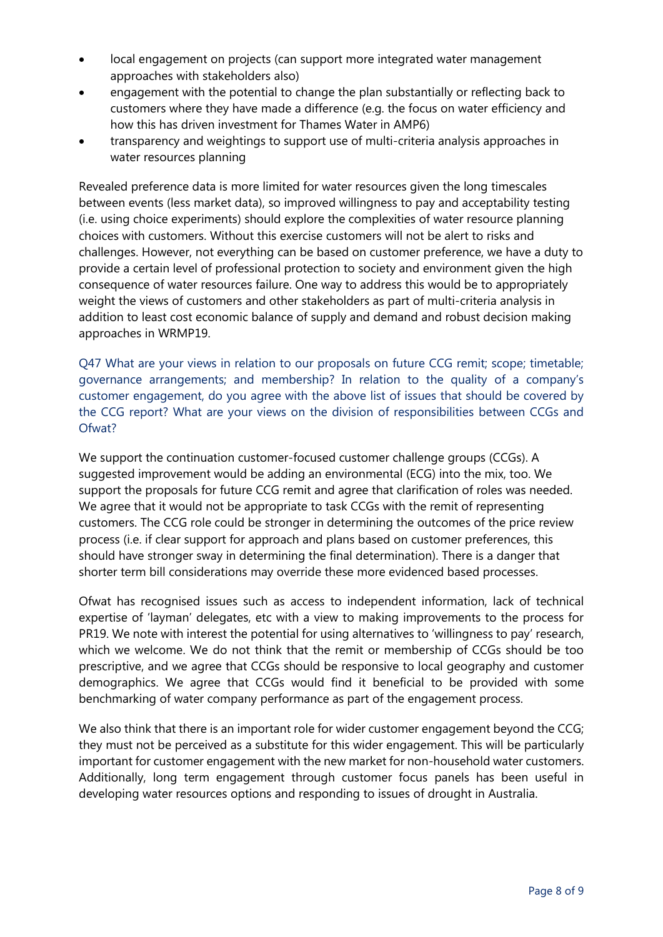- local engagement on projects (can support more integrated water management approaches with stakeholders also)
- engagement with the potential to change the plan substantially or reflecting back to customers where they have made a difference (e.g. the focus on water efficiency and how this has driven investment for Thames Water in AMP6)
- transparency and weightings to support use of multi-criteria analysis approaches in water resources planning

Revealed preference data is more limited for water resources given the long timescales between events (less market data), so improved willingness to pay and acceptability testing (i.e. using choice experiments) should explore the complexities of water resource planning choices with customers. Without this exercise customers will not be alert to risks and challenges. However, not everything can be based on customer preference, we have a duty to provide a certain level of professional protection to society and environment given the high consequence of water resources failure. One way to address this would be to appropriately weight the views of customers and other stakeholders as part of multi-criteria analysis in addition to least cost economic balance of supply and demand and robust decision making approaches in WRMP19.

Q47 What are your views in relation to our proposals on future CCG remit; scope; timetable; governance arrangements; and membership? In relation to the quality of a company's customer engagement, do you agree with the above list of issues that should be covered by the CCG report? What are your views on the division of responsibilities between CCGs and Ofwat?

We support the continuation customer-focused customer challenge groups (CCGs). A suggested improvement would be adding an environmental (ECG) into the mix, too. We support the proposals for future CCG remit and agree that clarification of roles was needed. We agree that it would not be appropriate to task CCGs with the remit of representing customers. The CCG role could be stronger in determining the outcomes of the price review process (i.e. if clear support for approach and plans based on customer preferences, this should have stronger sway in determining the final determination). There is a danger that shorter term bill considerations may override these more evidenced based processes.

Ofwat has recognised issues such as access to independent information, lack of technical expertise of 'layman' delegates, etc with a view to making improvements to the process for PR19. We note with interest the potential for using alternatives to 'willingness to pay' research, which we welcome. We do not think that the remit or membership of CCGs should be too prescriptive, and we agree that CCGs should be responsive to local geography and customer demographics. We agree that CCGs would find it beneficial to be provided with some benchmarking of water company performance as part of the engagement process.

We also think that there is an important role for wider customer engagement beyond the CCG; they must not be perceived as a substitute for this wider engagement. This will be particularly important for customer engagement with the new market for non-household water customers. Additionally, long term engagement through customer focus panels has been useful in developing water resources options and responding to issues of drought in Australia.